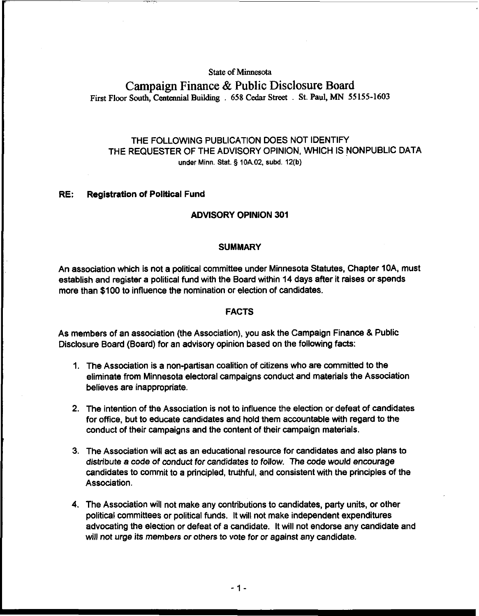### **State of Minnesota**

# **Campaign Finance** & **Public Disclosure Board First Floor South, Centennial Building** . **658 Cedar Street** . **St. Paul, MN 55 155-1603**

## THE FOLLOWING PUBLICATION DOES NOT IDENTIFY THE REQUESTER OF THE ADVISORY OPINION, WHICH IS NONPUBLIC DATA under Minn. Stat. § 10A.02, subd. 12(b)

### RE: Registration of Political Fund

## ADVISORY OPINION 301

#### **SUMMARY**

An association which is not a political committee under Minnesota Statutes, Chapter IDA, must establish and register a politicai fund with the Board within 14 days after it raises or spends more than \$100 to influence the nomination or election of candidates.

### FACTS

As members of an association (the Association), you ask the Campaign Finance & Public Disclosure Board (Board) for an advisory opinion based on the following facts:

- 1. The Association is a non-partisan coalition of citizens who are committed to the eliminate from Minnesota electoral campaigns conduct and materials the Association believes are inappropriate.
- 2. The intention of the Association is not to influence the election or defeat of candidates for office, but to educate candidates and hold them accountable with regard to the conduct of their campaigns and the content of their campaign materials.
- 3. The Association will act as an educational resource for candidates and also plans to distribute a code of conduct for candidates to follow. The code would encourage candidates to commit to a principled, truthful, and consistent with the principles of the Association.
- 4. The Association will not make any contributions to candidates, party units, or other political committees or political funds. It will not make independent expenditures advocating the election or defeat of a candidate. It will not endorse any candidate and will not urge its members or others to vote for or against any candidate.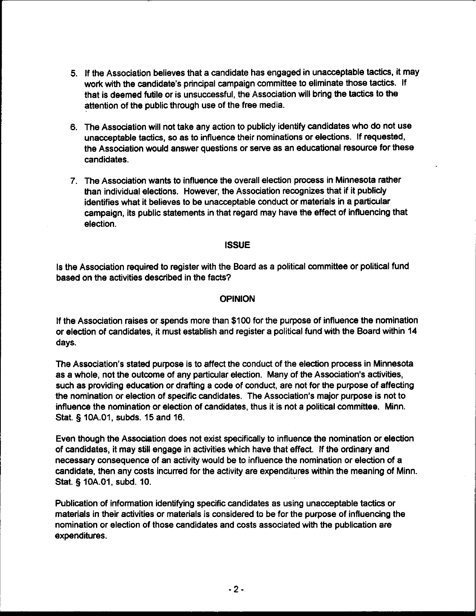- 5. If the Association believes that a candidate has engaged in unacceptable tactics, it may work with the candidate's principal campaign committee to eliminate those tactics. If that is deemed futile or is unsuccessful, the Association will bring the tactics to the attention of the public through use of the free media.
- 6. The Association will not take any action to publicly identify candidates who do not use unacceptable tactics, so as to influence their nominations or elections. If requested, the Association would answer questions or serve as an educational resource for these candidates.
- 7. The Association wants to influence the overall election process in Minnesota rather than individual elections. However, the Association recognizes that if it publicly identifies what it believes to be unacceptable conduct or materials in a particular campaign, its public statements in that regard may have the effect of influencing that election.

## **ISSUE**

Is the Association required to register with the Board as a political committee or political fund based on the activities described in the facts?

## OPINION

If the Association raises or spends more than \$100 for the purpose of influence the nomination or election of candidates, it must establish and register a political fund with the Board within 14 days.

The Association's stated purpose is to affect the conduct of the election process in Minnesota as a whole, not the outcome of any particular election. Many of the Association's activities, such as providing education or drafting a code of conduct, are not for the purpose of affecting the nomination or election of specific candidates. The Association's major purpose is not to influence the nomination or election of candidates, thus it is not a political committee. Minn. Stat, **5** lOA.01, subds. 15 and 16.

Even though the Association does not exist specifically to influence the nomination or election of candidates, it may still engage in activities which have that effect. If the ordinary and necessary consequence of an activity would be to influence the nomination or election of a candidate, then any costs incurred for the activity are expenditures within the meaning of Minn. Stat. **5** lOA.01, subd. 10.

Publication of information identifying specific candidates as using unacceptable tactics or materials in their activities or materials is considered to be for the purpose of influencing the nomination or election of those candidates and costs associated with the publication are expenditures.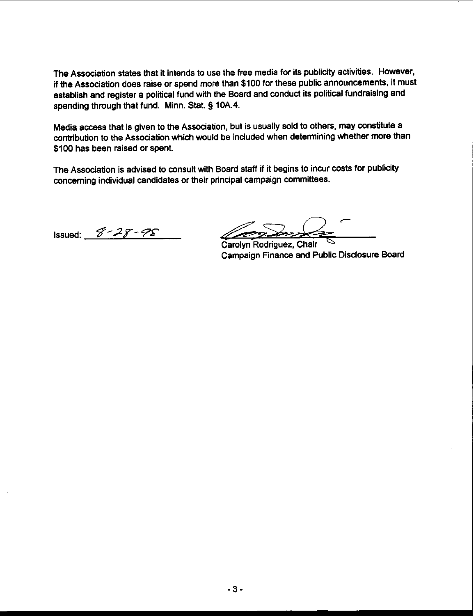The Association states that it intends to use the free media for its publicity activities. However, if the Association does raise or spend more than \$100 for these public announcements, it must establish and register a political fund with the Board and conduct its political fundraising and spending through that fund. Minn. Stat. § 10A.4.

Media access that is given to the Association, but is usually sold to others, may constitute a contribution to the Association which would be included when determining whether more than \$100 has been raised or spent.

The Association is advised to consult with Board staff if it begins to incur costs for publicity concerning individual candidates or their principal campaign committees.

Issued: **8'28-** 

*C*  ـ<br>-<br>ה

Carolyn Rodriguez, Chair Campaign Finance and Public Disclosure Board